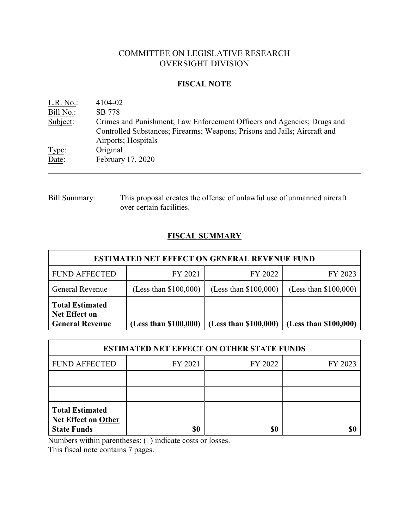# COMMITTEE ON LEGISLATIVE RESEARCH OVERSIGHT DIVISION

#### **FISCAL NOTE**

| L.R. No.  | 4104-02                                                                                                                                              |
|-----------|------------------------------------------------------------------------------------------------------------------------------------------------------|
| Bill No.: | SB 778                                                                                                                                               |
| Subject:  | Crimes and Punishment; Law Enforcement Officers and Agencies; Drugs and<br>Controlled Substances; Firearms; Weapons; Prisons and Jails; Aircraft and |
|           | Airports; Hospitals                                                                                                                                  |
| Type:     | Original                                                                                                                                             |
| Date:     | February 17, 2020                                                                                                                                    |

Bill Summary: This proposal creates the offense of unlawful use of unmanned aircraft over certain facilities.

## **FISCAL SUMMARY**

| <b>ESTIMATED NET EFFECT ON GENERAL REVENUE FUND</b>                      |                         |                         |                         |  |  |
|--------------------------------------------------------------------------|-------------------------|-------------------------|-------------------------|--|--|
| <b>FUND AFFECTED</b>                                                     | FY 2021                 | FY 2022                 | FY 2023                 |  |  |
| General Revenue                                                          | (Less than $$100,000$ ) | (Less than $$100,000$ ) | (Less than $$100,000$ ) |  |  |
| <b>Total Estimated</b><br><b>Net Effect on</b><br><b>General Revenue</b> | (Less than \$100,000)   | (Less than \$100,000)   | (Less than \$100,000)   |  |  |

| <b>ESTIMATED NET EFFECT ON OTHER STATE FUNDS</b>                           |         |         |         |  |  |
|----------------------------------------------------------------------------|---------|---------|---------|--|--|
| <b>FUND AFFECTED</b>                                                       | FY 2021 | FY 2022 | FY 2023 |  |  |
|                                                                            |         |         |         |  |  |
|                                                                            |         |         |         |  |  |
| <b>Total Estimated</b><br><b>Net Effect on Other</b><br><b>State Funds</b> |         | 80      |         |  |  |

Numbers within parentheses: ( ) indicate costs or losses.

This fiscal note contains 7 pages.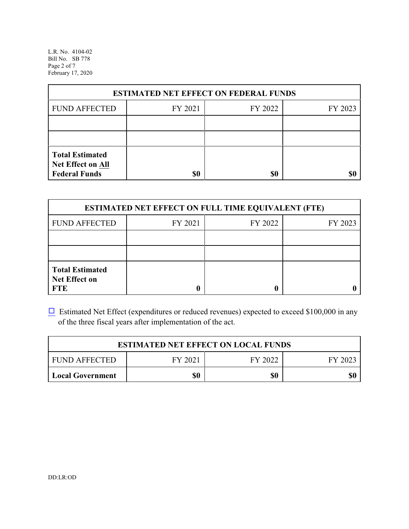L.R. No. 4104-02 Bill No. SB 778 Page 2 of 7 February 17, 2020

| <b>ESTIMATED NET EFFECT ON FEDERAL FUNDS</b>                        |         |         |         |  |  |
|---------------------------------------------------------------------|---------|---------|---------|--|--|
| <b>FUND AFFECTED</b>                                                | FY 2021 | FY 2022 | FY 2023 |  |  |
|                                                                     |         |         |         |  |  |
|                                                                     |         |         |         |  |  |
| <b>Total Estimated</b><br>Net Effect on All<br><b>Federal Funds</b> | \$0     | \$0     |         |  |  |

| <b>ESTIMATED NET EFFECT ON FULL TIME EQUIVALENT (FTE)</b>    |         |         |         |  |  |
|--------------------------------------------------------------|---------|---------|---------|--|--|
| <b>FUND AFFECTED</b>                                         | FY 2021 | FY 2022 | FY 2023 |  |  |
|                                                              |         |         |         |  |  |
|                                                              |         |         |         |  |  |
| <b>Total Estimated</b><br><b>Net Effect on</b><br><b>FTE</b> |         |         |         |  |  |

 $\Box$  Estimated Net Effect (expenditures or reduced revenues) expected to exceed \$100,000 in any of the three fiscal years after implementation of the act.

| <b>ESTIMATED NET EFFECT ON LOCAL FUNDS</b>            |  |  |  |  |  |
|-------------------------------------------------------|--|--|--|--|--|
| FY 2021<br><b>FUND AFFECTED</b><br>FY 2022<br>FY 2023 |  |  |  |  |  |
| \$0<br>\$0<br><b>Local Government</b>                 |  |  |  |  |  |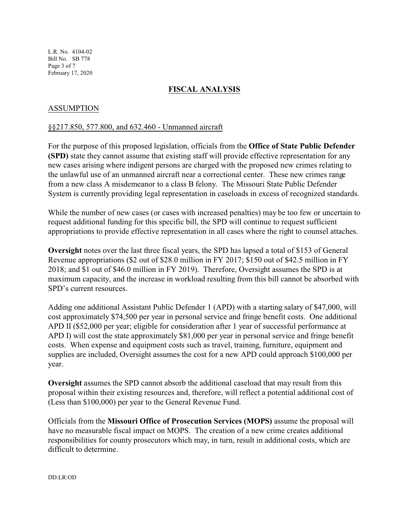L.R. No. 4104-02 Bill No. SB 778 Page 3 of 7 February 17, 2020

### **FISCAL ANALYSIS**

#### ASSUMPTION

#### §§217.850, 577.800, and 632.460 - Unmanned aircraft

For the purpose of this proposed legislation, officials from the **Office of State Public Defender (SPD)** state they cannot assume that existing staff will provide effective representation for any new cases arising where indigent persons are charged with the proposed new crimes relating to the unlawful use of an unmanned aircraft near a correctional center. These new crimes range from a new class A misdemeanor to a class B felony. The Missouri State Public Defender System is currently providing legal representation in caseloads in excess of recognized standards.

While the number of new cases (or cases with increased penalties) may be too few or uncertain to request additional funding for this specific bill, the SPD will continue to request sufficient appropriations to provide effective representation in all cases where the right to counsel attaches.

**Oversight** notes over the last three fiscal years, the SPD has lapsed a total of \$153 of General Revenue appropriations (\$2 out of \$28.0 million in FY 2017; \$150 out of \$42.5 million in FY 2018; and \$1 out of \$46.0 million in FY 2019). Therefore, Oversight assumes the SPD is at maximum capacity, and the increase in workload resulting from this bill cannot be absorbed with SPD's current resources.

Adding one additional Assistant Public Defender 1 (APD) with a starting salary of \$47,000, will cost approximately \$74,500 per year in personal service and fringe benefit costs. One additional APD II (\$52,000 per year; eligible for consideration after 1 year of successful performance at APD I) will cost the state approximately \$81,000 per year in personal service and fringe benefit costs. When expense and equipment costs such as travel, training, furniture, equipment and supplies are included, Oversight assumes the cost for a new APD could approach \$100,000 per year.

**Oversight** assumes the SPD cannot absorb the additional caseload that may result from this proposal within their existing resources and, therefore, will reflect a potential additional cost of (Less than \$100,000) per year to the General Revenue Fund.

Officials from the **Missouri Office of Prosecution Services (MOPS)** assume the proposal will have no measurable fiscal impact on MOPS. The creation of a new crime creates additional responsibilities for county prosecutors which may, in turn, result in additional costs, which are difficult to determine.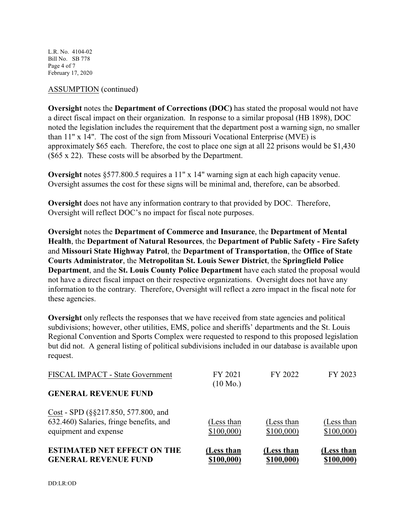L.R. No. 4104-02 Bill No. SB 778 Page 4 of 7 February 17, 2020

#### ASSUMPTION (continued)

**Oversight** notes the **Department of Corrections (DOC)** has stated the proposal would not have a direct fiscal impact on their organization. In response to a similar proposal (HB 1898), DOC noted the legislation includes the requirement that the department post a warning sign, no smaller than 11" x 14". The cost of the sign from Missouri Vocational Enterprise (MVE) is approximately \$65 each. Therefore, the cost to place one sign at all 22 prisons would be \$1,430 (\$65 x 22). These costs will be absorbed by the Department.

**Oversight** notes §577.800.5 requires a 11" x 14" warning sign at each high capacity venue. Oversight assumes the cost for these signs will be minimal and, therefore, can be absorbed.

**Oversight** does not have any information contrary to that provided by DOC. Therefore, Oversight will reflect DOC's no impact for fiscal note purposes.

**Oversight** notes the **Department of Commerce and Insurance**, the **Department of Mental Health**, the **Department of Natural Resources**, the **Department of Public Safety - Fire Safety** and **Missouri State Highway Patrol**, the **Department of Transportation**, the **Office of State Courts Administrator**, the **Metropolitan St. Louis Sewer District**, the **Springfield Police Department**, and the **St. Louis County Police Department** have each stated the proposal would not have a direct fiscal impact on their respective organizations. Oversight does not have any information to the contrary. Therefore, Oversight will reflect a zero impact in the fiscal note for these agencies.

**Oversight** only reflects the responses that we have received from state agencies and political subdivisions; however, other utilities, EMS, police and sheriffs' departments and the St. Louis Regional Convention and Sports Complex were requested to respond to this proposed legislation but did not. A general listing of political subdivisions included in our database is available upon request.

| <b>ESTIMATED NET EFFECT ON THE</b><br><b>GENERAL REVENUE FUND</b>                                       | Less than<br>\$100,000) | (Less than<br>\$100,000) | (Less than<br>\$100,000) |
|---------------------------------------------------------------------------------------------------------|-------------------------|--------------------------|--------------------------|
| Cost - SPD (§§217.850, 577.800, and<br>632.460) Salaries, fringe benefits, and<br>equipment and expense | (Less than<br>\$100,000 | (Less than<br>\$100,000  | (Less than<br>\$100,000  |
| <b>GENERAL REVENUE FUND</b>                                                                             | $(10 \text{ Mo.})$      |                          |                          |
| FISCAL IMPACT - State Government                                                                        | FY 2021                 | FY 2022                  | FY 2023                  |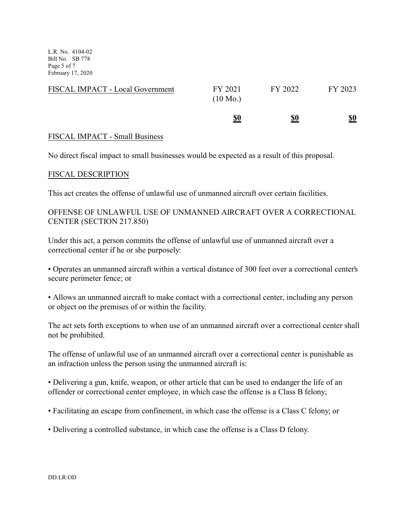L.R. No. 4104-02 Bill No. SB 778 Page 5 of 7 February 17, 2020

| FISCAL IMPACT - Local Government | FY 2021<br>$(10 \text{ Mo.})$ | FY 2022    | FY 2023    |
|----------------------------------|-------------------------------|------------|------------|
|                                  | <u>\$0</u>                    | <u>\$0</u> | <u>\$0</u> |

#### FISCAL IMPACT - Small Business

No direct fiscal impact to small businesses would be expected as a result of this proposal.

#### FISCAL DESCRIPTION

This act creates the offense of unlawful use of unmanned aircraft over certain facilities.

## OFFENSE OF UNLAWFUL USE OF UNMANNED AIRCRAFT OVER A CORRECTIONAL CENTER (SECTION 217.850)

Under this act, a person commits the offense of unlawful use of unmanned aircraft over a correctional center if he or she purposely:

• Operates an unmanned aircraft within a vertical distance of 300 feet over a correctional center's secure perimeter fence; or

• Allows an unmanned aircraft to make contact with a correctional center, including any person or object on the premises of or within the facility.

The act sets forth exceptions to when use of an unmanned aircraft over a correctional center shall not be prohibited.

The offense of unlawful use of an unmanned aircraft over a correctional center is punishable as an infraction unless the person using the unmanned aircraft is:

• Delivering a gun, knife, weapon, or other article that can be used to endanger the life of an offender or correctional center employee, in which case the offense is a Class B felony;

• Facilitating an escape from confinement, in which case the offense is a Class C felony; or

• Delivering a controlled substance, in which case the offense is a Class D felony.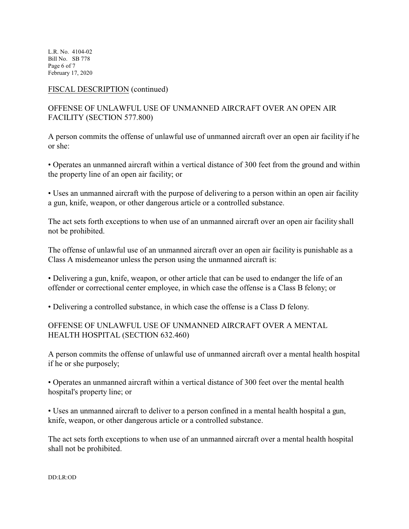L.R. No. 4104-02 Bill No. SB 778 Page 6 of 7 February 17, 2020

#### FISCAL DESCRIPTION (continued)

## OFFENSE OF UNLAWFUL USE OF UNMANNED AIRCRAFT OVER AN OPEN AIR FACILITY (SECTION 577.800)

A person commits the offense of unlawful use of unmanned aircraft over an open air facility if he or she:

• Operates an unmanned aircraft within a vertical distance of 300 feet from the ground and within the property line of an open air facility; or

• Uses an unmanned aircraft with the purpose of delivering to a person within an open air facility a gun, knife, weapon, or other dangerous article or a controlled substance.

The act sets forth exceptions to when use of an unmanned aircraft over an open air facility shall not be prohibited.

The offense of unlawful use of an unmanned aircraft over an open air facility is punishable as a Class A misdemeanor unless the person using the unmanned aircraft is:

• Delivering a gun, knife, weapon, or other article that can be used to endanger the life of an offender or correctional center employee, in which case the offense is a Class B felony; or

• Delivering a controlled substance, in which case the offense is a Class D felony.

## OFFENSE OF UNLAWFUL USE OF UNMANNED AIRCRAFT OVER A MENTAL HEALTH HOSPITAL (SECTION 632.460)

A person commits the offense of unlawful use of unmanned aircraft over a mental health hospital if he or she purposely;

• Operates an unmanned aircraft within a vertical distance of 300 feet over the mental health hospital's property line; or

• Uses an unmanned aircraft to deliver to a person confined in a mental health hospital a gun, knife, weapon, or other dangerous article or a controlled substance.

The act sets forth exceptions to when use of an unmanned aircraft over a mental health hospital shall not be prohibited.